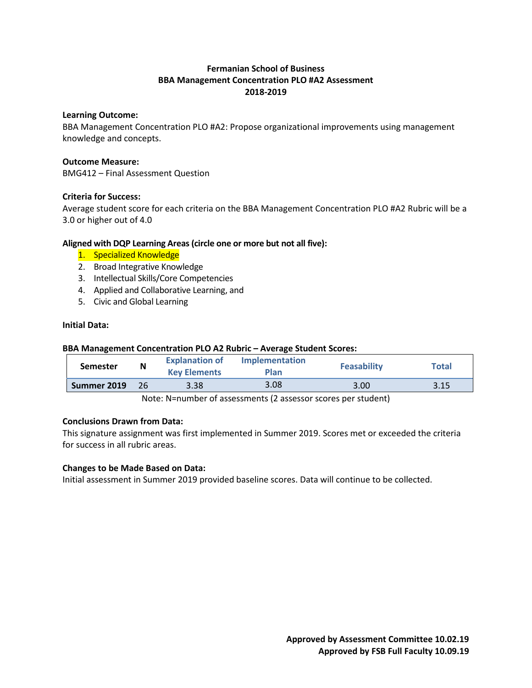# **Fermanian School of Business BBA Management Concentration PLO #A2 Assessment 2018-2019**

# **Learning Outcome:**

BBA Management Concentration PLO #A2: Propose organizational improvements using management knowledge and concepts.

# **Outcome Measure:**

BMG412 – Final Assessment Question

# **Criteria for Success:**

Average student score for each criteria on the BBA Management Concentration PLO #A2 Rubric will be a 3.0 or higher out of 4.0

# **Aligned with DQP Learning Areas (circle one or more but not all five):**

- 1. Specialized Knowledge
- 2. Broad Integrative Knowledge
- 3. Intellectual Skills/Core Competencies
- 4. Applied and Collaborative Learning, and
- 5. Civic and Global Learning

# **Initial Data:**

# **BBA Management Concentration PLO A2 Rubric – Average Student Scores:**

| <b>Semester</b> | N | <b>Explanation of</b><br><b>Key Elements</b> | <b>Implementation</b><br>Plan | <b>Feasability</b> | <b>Total</b> |
|-----------------|---|----------------------------------------------|-------------------------------|--------------------|--------------|
| Summer 2019     |   | 3.38                                         | 3.08                          | 3.00               | 3.15         |

Note: N=number of assessments (2 assessor scores per student)

# **Conclusions Drawn from Data:**

This signature assignment was first implemented in Summer 2019. Scores met or exceeded the criteria for success in all rubric areas.

#### **Changes to be Made Based on Data:**

Initial assessment in Summer 2019 provided baseline scores. Data will continue to be collected.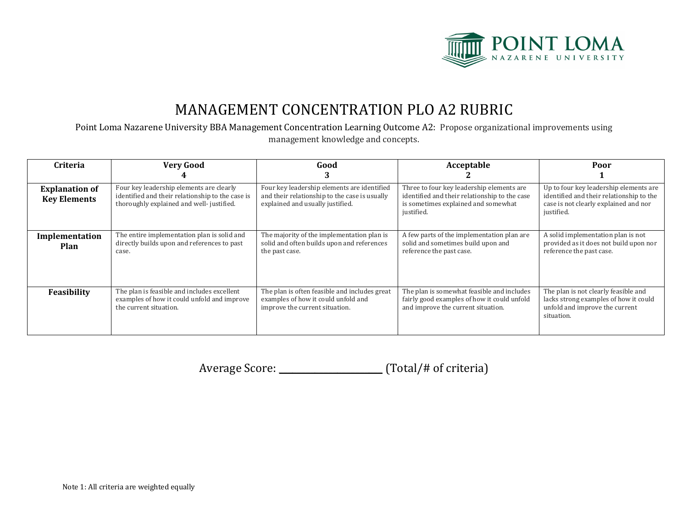

# MANAGEMENT CONCENTRATION PLO A2 RUBRIC

Point Loma Nazarene University BBA Management Concentration Learning Outcome A2: Propose organizational improvements using management knowledge and concepts.

| <b>Criteria</b>                              | <b>Very Good</b>                                                                                                                         | Good                                                                                                                             | Acceptable                                                                                                                                      | Poor                                                                                                                                      |
|----------------------------------------------|------------------------------------------------------------------------------------------------------------------------------------------|----------------------------------------------------------------------------------------------------------------------------------|-------------------------------------------------------------------------------------------------------------------------------------------------|-------------------------------------------------------------------------------------------------------------------------------------------|
| <b>Explanation of</b><br><b>Key Elements</b> | Four key leadership elements are clearly<br>identified and their relationship to the case is<br>thoroughly explained and well-justified. | Four key leadership elements are identified<br>and their relationship to the case is usually<br>explained and usually justified. | Three to four key leadership elements are<br>identified and their relationship to the case<br>is sometimes explained and somewhat<br>justified. | Up to four key leadership elements are<br>identified and their relationship to the<br>case is not clearly explained and nor<br>justified. |
| Implementation<br>Plan                       | The entire implementation plan is solid and<br>directly builds upon and references to past<br>case.                                      | The majority of the implementation plan is<br>solid and often builds upon and references<br>the past case.                       | A few parts of the implementation plan are<br>solid and sometimes build upon and<br>reference the past case.                                    | A solid implementation plan is not<br>provided as it does not build upon nor<br>reference the past case.                                  |
| Feasibility                                  | The plan is feasible and includes excellent<br>examples of how it could unfold and improve<br>the current situation.                     | The plan is often feasible and includes great<br>examples of how it could unfold and<br>improve the current situation.           | The plan is somewhat feasible and includes<br>fairly good examples of how it could unfold<br>and improve the current situation.                 | The plan is not clearly feasible and<br>lacks strong examples of how it could<br>unfold and improve the current<br>situation.             |

Average Score: \_\_\_\_\_\_\_\_\_\_\_\_\_\_\_\_\_\_\_\_\_\_\_\_\_\_ (Total/# of criteria)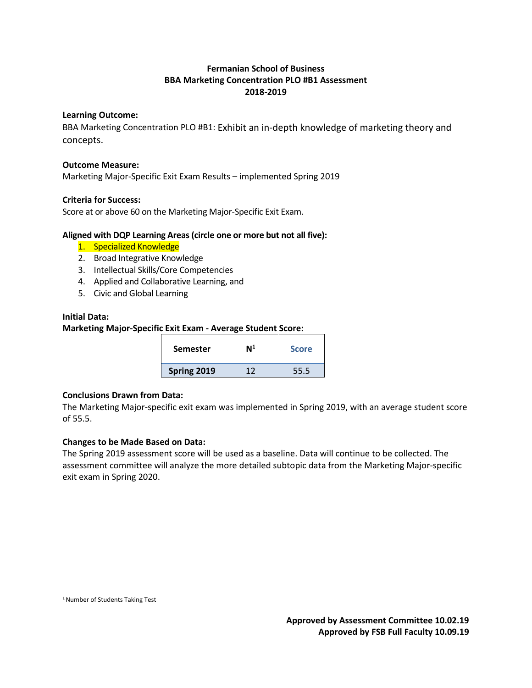# **Fermanian School of Business BBA Marketing Concentration PLO #B1 Assessment 2018-2019**

# **Learning Outcome:**

BBA Marketing Concentration PLO #B1: Exhibit an in-depth knowledge of marketing theory and concepts.

#### **Outcome Measure:**

Marketing Major-Specific Exit Exam Results – implemented Spring 2019

# **Criteria for Success:**

Score at or above 60 on the Marketing Major-Specific Exit Exam.

# **Aligned with DQP Learning Areas (circle one or more but not all five):**

- 1. Specialized Knowledge
- 2. Broad Integrative Knowledge
- 3. Intellectual Skills/Core Competencies
- 4. Applied and Collaborative Learning, and
- 5. Civic and Global Learning

#### **Initial Data:**

# **Marketing Major-Specific Exit Exam - Average Student Score:**

| <b>Semester</b> | M <sup>1</sup> | <b>Score</b> |
|-----------------|----------------|--------------|
| Spring 2019     | 17             | 55.5         |

#### **Conclusions Drawn from Data:**

The Marketing Major-specific exit exam was implemented in Spring 2019, with an average student score of 55.5.

# **Changes to be Made Based on Data:**

The Spring 2019 assessment score will be used as a baseline. Data will continue to be collected. The assessment committee will analyze the more detailed subtopic data from the Marketing Major-specific exit exam in Spring 2020.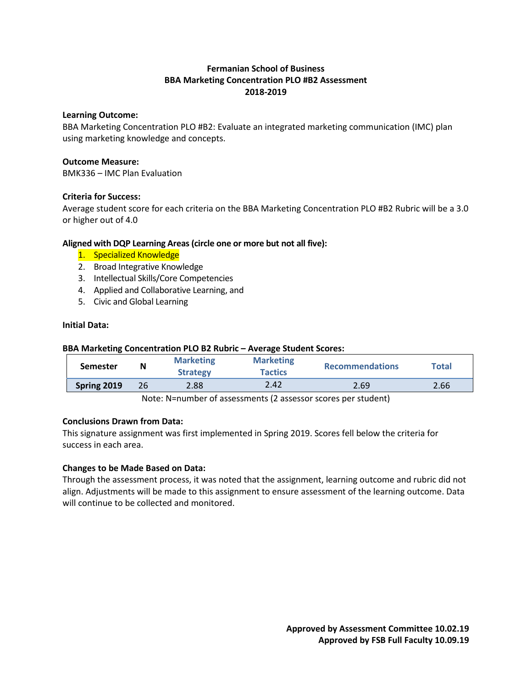# **Fermanian School of Business BBA Marketing Concentration PLO #B2 Assessment 2018-2019**

# **Learning Outcome:**

BBA Marketing Concentration PLO #B2: Evaluate an integrated marketing communication (IMC) plan using marketing knowledge and concepts.

# **Outcome Measure:**

BMK336 – IMC Plan Evaluation

# **Criteria for Success:**

Average student score for each criteria on the BBA Marketing Concentration PLO #B2 Rubric will be a 3.0 or higher out of 4.0

# **Aligned with DQP Learning Areas (circle one or more but not all five):**

- 1. Specialized Knowledge
- 2. Broad Integrative Knowledge
- 3. Intellectual Skills/Core Competencies
- 4. Applied and Collaborative Learning, and
- 5. Civic and Global Learning

# **Initial Data:**

#### **BBA Marketing Concentration PLO B2 Rubric – Average Student Scores:**

| <b>Semester</b> | N  | <b>Marketing</b><br><b>Strategy</b> | <b>Marketing</b><br><b>Tactics</b> | <b>Recommendations</b> | Total |
|-----------------|----|-------------------------------------|------------------------------------|------------------------|-------|
| Spring 2019     | 26 | 2.88                                | 2.42                               | 2.69                   | 2.66  |

Note: N=number of assessments (2 assessor scores per student)

# **Conclusions Drawn from Data:**

This signature assignment was first implemented in Spring 2019. Scores fell below the criteria for success in each area.

# **Changes to be Made Based on Data:**

Through the assessment process, it was noted that the assignment, learning outcome and rubric did not align. Adjustments will be made to this assignment to ensure assessment of the learning outcome. Data will continue to be collected and monitored.